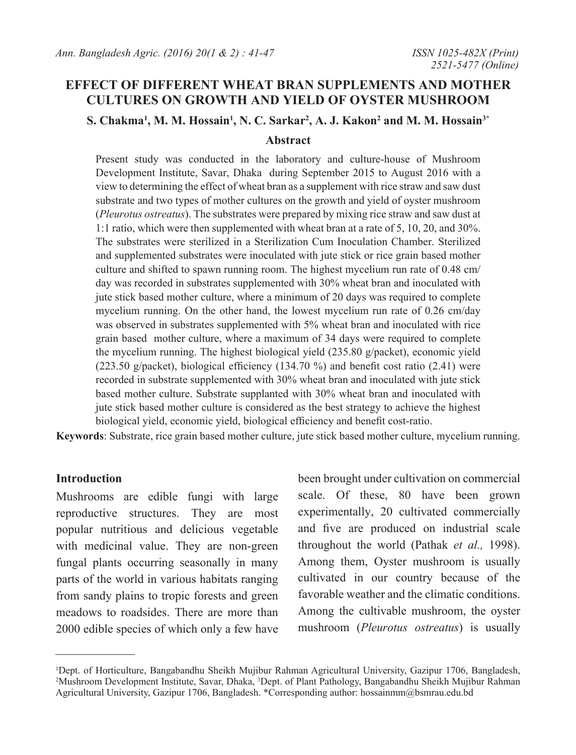## **EFFECT OF DIFFERENT WHEAT BRAN SUPPLEMENTS AND MOTHER CULTURES ON GROWTH AND YIELD OF OYSTER MUSHROOM**

 $\mathbf{S}. \ \mathbf{Chakma}^1, \mathbf{M}. \ \mathbf{M}. \ \mathbf{H}$ ossain<sup>1</sup>, N. C. Sarkar<sup>2</sup>, A. J. Kakon<sup>2</sup> and M. M. Hossain<sup>3\*</sup>

### **Abstract**

Present study was conducted in the laboratory and culture-house of Mushroom Development Institute, Savar, Dhaka during September 2015 to August 2016 with a view to determining the effect of wheat bran as a supplement with rice straw and saw dust substrate and two types of mother cultures on the growth and yield of oyster mushroom (*Pleurotus ostreatus*). The substrates were prepared by mixing rice straw and saw dust at 1:1 ratio, which were then supplemented with wheat bran at a rate of 5, 10, 20, and 30%. The substrates were sterilized in a Sterilization Cum Inoculation Chamber. Sterilized and supplemented substrates were inoculated with jute stick or rice grain based mother culture and shifted to spawn running room. The highest mycelium run rate of 0.48 cm/ day was recorded in substrates supplemented with 30% wheat bran and inoculated with jute stick based mother culture, where a minimum of 20 days was required to complete mycelium running. On the other hand, the lowest mycelium run rate of 0.26 cm/day was observed in substrates supplemented with 5% wheat bran and inoculated with rice grain based mother culture, where a maximum of 34 days were required to complete the mycelium running. The highest biological yield (235.80 g/packet), economic yield (223.50 g/packet), biological efficiency (134.70 %) and benefit cost ratio (2.41) were recorded in substrate supplemented with 30% wheat bran and inoculated with jute stick based mother culture. Substrate supplanted with 30% wheat bran and inoculated with jute stick based mother culture is considered as the best strategy to achieve the highest biological yield, economic yield, biological efficiency and benefit cost-ratio.

**Keywords**: Substrate, rice grain based mother culture, jute stick based mother culture, mycelium running.

### **Introduction**

Mushrooms are edible fungi with large reproductive structures. They are most popular nutritious and delicious vegetable with medicinal value. They are non-green fungal plants occurring seasonally in many parts of the world in various habitats ranging from sandy plains to tropic forests and green meadows to roadsides. There are more than 2000 edible species of which only a few have

been brought under cultivation on commercial scale. Of these, 80 have been grown experimentally, 20 cultivated commercially and five are produced on industrial scale throughout the world (Pathak *et al.,* 1998). Among them, Oyster mushroom is usually cultivated in our country because of the favorable weather and the climatic conditions. Among the cultivable mushroom, the oyster mushroom (*Pleurotus ostreatus*) is usually

<sup>1</sup> Dept. of Horticulture, Bangabandhu Sheikh Mujibur Rahman Agricultural University, Gazipur 1706, Bangladesh, 2 Mushroom Development Institute, Savar, Dhaka, 3 Dept. of Plant Pathology, Bangabandhu Sheikh Mujibur Rahman Agricultural University, Gazipur 1706, Bangladesh. \*Corresponding author: hossainmm@bsmrau.edu.bd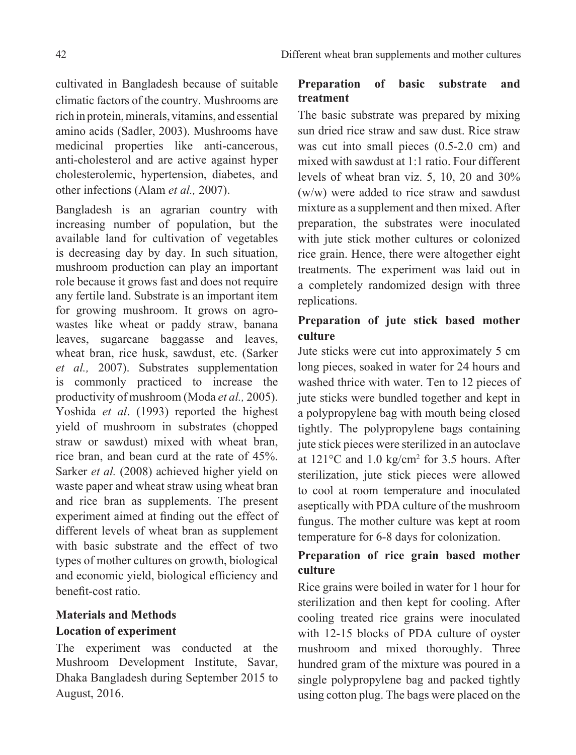cultivated in Bangladesh because of suitable climatic factors of the country. Mushrooms are rich in protein, minerals, vitamins, and essential amino acids (Sadler, 2003). Mushrooms have medicinal properties like anti-cancerous, anti-cholesterol and are active against hyper cholesterolemic, hypertension, diabetes, and other infections (Alam *et al.,* 2007).

Bangladesh is an agrarian country with increasing number of population, but the available land for cultivation of vegetables is decreasing day by day. In such situation, mushroom production can play an important role because it grows fast and does not require any fertile land. Substrate is an important item for growing mushroom. It grows on agrowastes like wheat or paddy straw, banana leaves, sugarcane baggasse and leaves, wheat bran, rice husk, sawdust, etc. (Sarker *et al.,* 2007). Substrates supplementation is commonly practiced to increase the productivity of mushroom (Moda *et al.,* 2005). Yoshida *et al*. (1993) reported the highest yield of mushroom in substrates (chopped straw or sawdust) mixed with wheat bran, rice bran, and bean curd at the rate of 45%. Sarker *et al.* (2008) achieved higher yield on waste paper and wheat straw using wheat bran and rice bran as supplements. The present experiment aimed at finding out the effect of different levels of wheat bran as supplement with basic substrate and the effect of two types of mother cultures on growth, biological and economic yield, biological efficiency and benefit-cost ratio.

# **Materials and Methods Location of experiment**

The experiment was conducted at the Mushroom Development Institute, Savar, Dhaka Bangladesh during September 2015 to August, 2016.

## **Preparation of basic substrate and treatment**

The basic substrate was prepared by mixing sun dried rice straw and saw dust. Rice straw was cut into small pieces (0.5-2.0 cm) and mixed with sawdust at 1:1 ratio. Four different levels of wheat bran viz. 5, 10, 20 and 30% (w/w) were added to rice straw and sawdust mixture as a supplement and then mixed. After preparation, the substrates were inoculated with jute stick mother cultures or colonized rice grain. Hence, there were altogether eight treatments. The experiment was laid out in a completely randomized design with three replications.

# **Preparation of jute stick based mother culture**

Jute sticks were cut into approximately 5 cm long pieces, soaked in water for 24 hours and washed thrice with water. Ten to 12 pieces of jute sticks were bundled together and kept in a polypropylene bag with mouth being closed tightly. The polypropylene bags containing jute stick pieces were sterilized in an autoclave at  $121^{\circ}$ C and  $1.0$  kg/cm<sup>2</sup> for 3.5 hours. After sterilization, jute stick pieces were allowed to cool at room temperature and inoculated aseptically with PDA culture of the mushroom fungus. The mother culture was kept at room temperature for 6-8 days for colonization.

# **Preparation of rice grain based mother culture**

Rice grains were boiled in water for 1 hour for sterilization and then kept for cooling. After cooling treated rice grains were inoculated with 12-15 blocks of PDA culture of oyster mushroom and mixed thoroughly. Three hundred gram of the mixture was poured in a single polypropylene bag and packed tightly using cotton plug. The bags were placed on the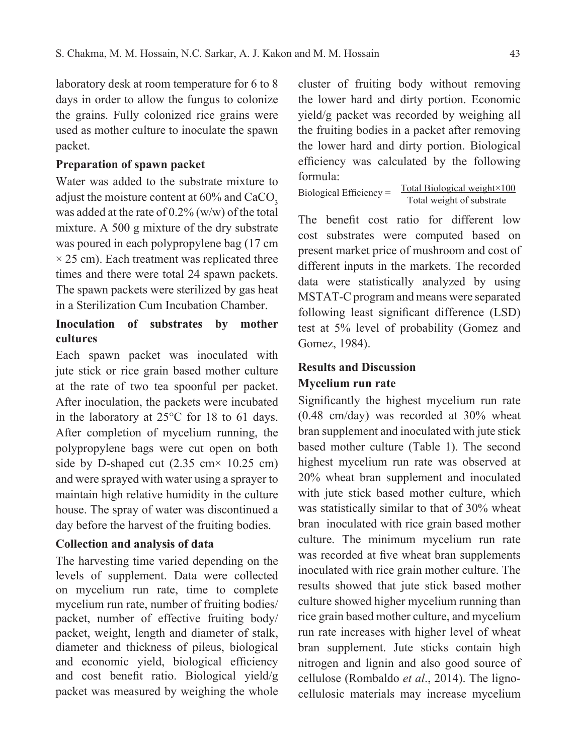laboratory desk at room temperature for 6 to 8 days in order to allow the fungus to colonize the grains. Fully colonized rice grains were used as mother culture to inoculate the spawn packet.

### **Preparation of spawn packet**

Water was added to the substrate mixture to adjust the moisture content at 60% and CaCO<sub>2</sub> was added at the rate of 0.2% (w/w) of the total mixture. A 500 g mixture of the dry substrate was poured in each polypropylene bag (17 cm  $\times$  25 cm). Each treatment was replicated three times and there were total 24 spawn packets. The spawn packets were sterilized by gas heat in a Sterilization Cum Incubation Chamber.

## **Inoculation of substrates by mother cultures**

Each spawn packet was inoculated with jute stick or rice grain based mother culture at the rate of two tea spoonful per packet. After inoculation, the packets were incubated in the laboratory at 25°C for 18 to 61 days. After completion of mycelium running, the polypropylene bags were cut open on both side by D-shaped cut  $(2.35 \text{ cm} \times 10.25 \text{ cm})$ and were sprayed with water using a sprayer to maintain high relative humidity in the culture house. The spray of water was discontinued a day before the harvest of the fruiting bodies.

#### **Collection and analysis of data**

The harvesting time varied depending on the levels of supplement. Data were collected on mycelium run rate, time to complete mycelium run rate, number of fruiting bodies/ packet, number of effective fruiting body/ packet, weight, length and diameter of stalk, diameter and thickness of pileus, biological and economic yield, biological efficiency and cost benefit ratio. Biological yield/g packet was measured by weighing the whole

cluster of fruiting body without removing the lower hard and dirty portion. Economic yield/g packet was recorded by weighing all the fruiting bodies in a packet after removing the lower hard and dirty portion. Biological efficiency was calculated by the following formula:

Biological Efficiency =  $\frac{\text{Total Biological weight} \times 100}{\text{Total Biological weight}}$ Total weight of substrate

The benefit cost ratio for different low cost substrates were computed based on present market price of mushroom and cost of different inputs in the markets. The recorded data were statistically analyzed by using MSTAT-C program and means were separated following least significant difference (LSD) test at 5% level of probability (Gomez and Gomez, 1984).

## **Results and Discussion**

### **Mycelium run rate**

Significantly the highest mycelium run rate (0.48 cm/day) was recorded at 30% wheat bran supplement and inoculated with jute stick based mother culture (Table 1). The second highest mycelium run rate was observed at 20% wheat bran supplement and inoculated with jute stick based mother culture, which was statistically similar to that of 30% wheat bran inoculated with rice grain based mother culture. The minimum mycelium run rate was recorded at five wheat bran supplements inoculated with rice grain mother culture. The results showed that jute stick based mother culture showed higher mycelium running than rice grain based mother culture, and mycelium run rate increases with higher level of wheat bran supplement. Jute sticks contain high nitrogen and lignin and also good source of cellulose (Rombaldo *et al*., 2014). The lignocellulosic materials may increase mycelium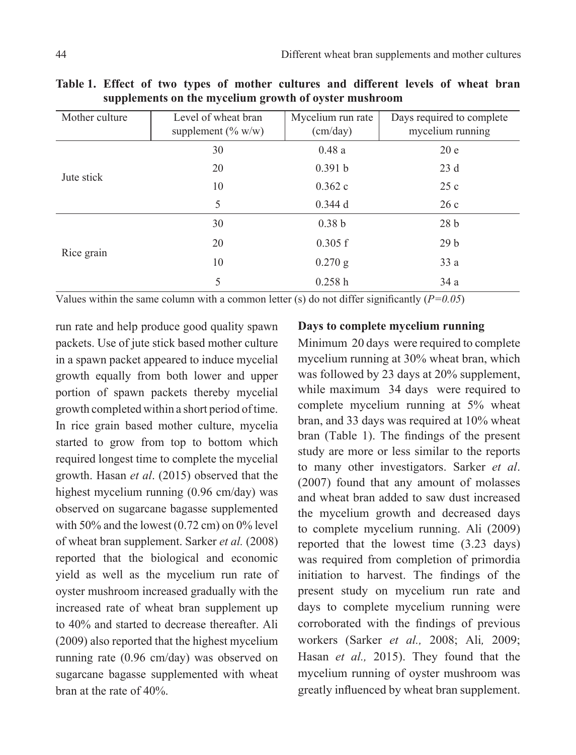| Mother culture | Level of wheat bran<br>supplement $(\% w/w)$ | Mycelium run rate<br>(cm/day) | Days required to complete<br>mycelium running |  |
|----------------|----------------------------------------------|-------------------------------|-----------------------------------------------|--|
|                | 30                                           | 0.48a                         | 20e                                           |  |
| Jute stick     | 20                                           | 0.391 b                       | 23d                                           |  |
|                | 10                                           | 0.362c                        | 25c                                           |  |
|                | 5                                            | 0.344d                        | 26c                                           |  |
|                | 30                                           | 0.38 <sub>b</sub>             | 28 <sub>b</sub>                               |  |
|                | 20                                           | 0.305 f                       | 29 <sub>b</sub>                               |  |
| Rice grain     | 10                                           | $0.270$ g                     | 33a                                           |  |
|                | 5                                            | 0.258h                        | 34a                                           |  |

**Table 1. Effect of two types of mother cultures and different levels of wheat bran supplements on the mycelium growth of oyster mushroom**

Values within the same column with a common letter (s) do not differ significantly  $(P=0.05)$ 

run rate and help produce good quality spawn packets. Use of jute stick based mother culture in a spawn packet appeared to induce mycelial growth equally from both lower and upper portion of spawn packets thereby mycelial growth completed within a short period of time. In rice grain based mother culture, mycelia started to grow from top to bottom which required longest time to complete the mycelial growth. Hasan *et al*. (2015) observed that the highest mycelium running (0.96 cm/day) was observed on sugarcane bagasse supplemented with 50% and the lowest (0.72 cm) on 0% level of wheat bran supplement. Sarker *et al.* (2008) reported that the biological and economic yield as well as the mycelium run rate of oyster mushroom increased gradually with the increased rate of wheat bran supplement up to 40% and started to decrease thereafter. Ali (2009) also reported that the highest mycelium running rate (0.96 cm/day) was observed on sugarcane bagasse supplemented with wheat bran at the rate of 40%.

## **Days to complete mycelium running**

Minimum 20 days were required to complete mycelium running at 30% wheat bran, which was followed by 23 days at 20% supplement, while maximum 34 days were required to complete mycelium running at 5% wheat bran, and 33 days was required at 10% wheat bran (Table 1). The findings of the present study are more or less similar to the reports to many other investigators. Sarker *et al*. (2007) found that any amount of molasses and wheat bran added to saw dust increased the mycelium growth and decreased days to complete mycelium running. Ali (2009) reported that the lowest time (3.23 days) was required from completion of primordia initiation to harvest. The findings of the present study on mycelium run rate and days to complete mycelium running were corroborated with the findings of previous workers (Sarker *et al.,* 2008; Ali*,* 2009; Hasan *et al.,* 2015). They found that the mycelium running of oyster mushroom was greatly influenced by wheat bran supplement.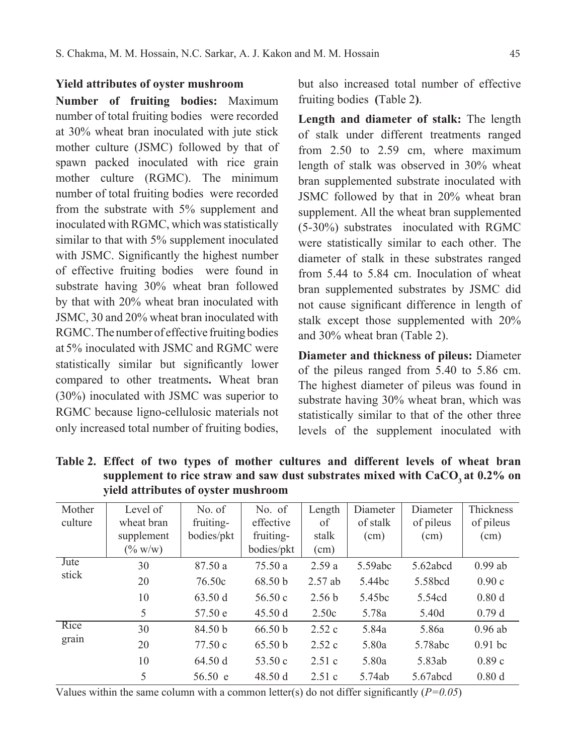### **Yield attributes of oyster mushroom**

**Number of fruiting bodies:** Maximum number of total fruiting bodies were recorded at 30% wheat bran inoculated with jute stick mother culture (JSMC) followed by that of spawn packed inoculated with rice grain mother culture (RGMC). The minimum number of total fruiting bodies were recorded from the substrate with 5% supplement and inoculated with RGMC, which was statistically similar to that with 5% supplement inoculated with JSMC. Significantly the highest number of effective fruiting bodies were found in substrate having 30% wheat bran followed by that with 20% wheat bran inoculated with JSMC, 30 and 20% wheat bran inoculated with RGMC. The number of effective fruiting bodies at 5% inoculated with JSMC and RGMC were statistically similar but significantly lower compared to other treatments**.** Wheat bran (30%) inoculated with JSMC was superior to RGMC because ligno-cellulosic materials not only increased total number of fruiting bodies,

but also increased total number of effective fruiting bodies **(**Table 2**)**.

**Length and diameter of stalk:** The length of stalk under different treatments ranged from 2.50 to 2.59 cm, where maximum length of stalk was observed in 30% wheat bran supplemented substrate inoculated with JSMC followed by that in 20% wheat bran supplement. All the wheat bran supplemented (5-30%) substrates inoculated with RGMC were statistically similar to each other. The diameter of stalk in these substrates ranged from 5.44 to 5.84 cm. Inoculation of wheat bran supplemented substrates by JSMC did not cause significant difference in length of stalk except those supplemented with 20% and 30% wheat bran (Table 2).

**Diameter and thickness of pileus:** Diameter of the pileus ranged from 5.40 to 5.86 cm. The highest diameter of pileus was found in substrate having 30% wheat bran, which was statistically similar to that of the other three levels of the supplement inoculated with

| Mother  | Level of   | No. of     | No. of             | Length            | Diameter           | Diameter  | <b>Thickness</b> |
|---------|------------|------------|--------------------|-------------------|--------------------|-----------|------------------|
| culture | wheat bran | fruiting-  | effective          | of                | of stalk           | of pileus | of pileus        |
|         | supplement | bodies/pkt | fruiting-          | stalk             | (cm)               | (cm)      | (cm)             |
|         | $(\% w/w)$ |            | bodies/pkt         | (cm)              |                    |           |                  |
| Jute    | 30         | 87.50 a    | 75.50 a            | 2.59a             | 5.59abc            | 5.62abcd  | $0.99$ ab        |
| stick   | 20         | 76.50c     | 68.50 <sub>b</sub> | $2.57$ ab         | 5.44bc             | 5.58bcd   | 0.90c            |
|         | 10         | 63.50 d    | 56.50c             | 2.56 <sub>b</sub> | 5.45 <sub>bc</sub> | 5.54cd    | 0.80d            |
|         | 5          | 57.50 e    | 45.50 d            | 2.50c             | 5.78a              | 5.40d     | 0.79d            |
| Rice    | 30         | 84.50 b    | 66.50 b            | 2.52c             | 5.84a              | 5.86a     | $0.96$ ab        |
| grain   | 20         | 77.50c     | 65.50 b            | 2.52c             | 5.80a              | 5.78abc   | $0.91$ bc        |
|         | 10         | 64.50 d    | 53.50c             | 2.51c             | 5.80a              | 5.83ab    | 0.89c            |
|         | 5          | 56.50 e    | 48.50 d            | 2.51c             | 5.74ab             | 5.67abcd  | 0.80d            |

**Table 2. Effect of two types of mother cultures and different levels of wheat bran**  supplement to rice straw and saw dust substrates mixed with CaCO<sub>3</sub> at 0.2% on **yield attributes of oyster mushroom**

Values within the same column with a common letter(s) do not differ significantly  $(P=0.05)$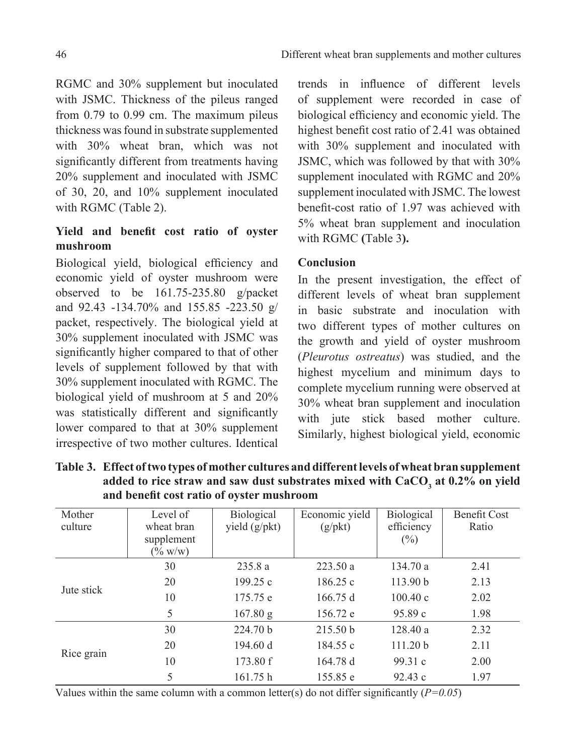RGMC and 30% supplement but inoculated with JSMC. Thickness of the pileus ranged from 0.79 to 0.99 cm. The maximum pileus thickness was found in substrate supplemented with 30% wheat bran, which was not significantly different from treatments having 20% supplement and inoculated with JSMC of 30, 20, and 10% supplement inoculated with RGMC (Table 2).

# **Yield and benefit cost ratio of oyster mushroom**

Biological yield, biological efficiency and economic yield of oyster mushroom were observed to be 161.75-235.80 g/packet and 92.43 -134.70% and 155.85 -223.50 g/ packet, respectively. The biological yield at 30% supplement inoculated with JSMC was significantly higher compared to that of other levels of supplement followed by that with 30% supplement inoculated with RGMC. The biological yield of mushroom at 5 and 20% was statistically different and significantly lower compared to that at 30% supplement irrespective of two mother cultures. Identical

trends in influence of different levels of supplement were recorded in case of biological efficiency and economic yield. The highest benefit cost ratio of 2.41 was obtained with 30% supplement and inoculated with JSMC, which was followed by that with 30% supplement inoculated with RGMC and 20% supplement inoculated with JSMC. The lowest benefit-cost ratio of 1.97 was achieved with 5% wheat bran supplement and inoculation with RGMC **(**Table 3**).**

## **Conclusion**

In the present investigation, the effect of different levels of wheat bran supplement in basic substrate and inoculation with two different types of mother cultures on the growth and yield of oyster mushroom (*Pleurotus ostreatus*) was studied, and the highest mycelium and minimum days to complete mycelium running were observed at 30% wheat bran supplement and inoculation with jute stick based mother culture. Similarly, highest biological yield, economic

| Mother<br>culture | Level of<br>wheat bran<br>supplement<br>$(\% w/w)$ | Biological<br>yield $(g/\text{pkt})$ | Economic yield<br>$(g/\text{pkt})$ | Biological<br>efficiency<br>$(\%)$ | <b>Benefit Cost</b><br>Ratio |
|-------------------|----------------------------------------------------|--------------------------------------|------------------------------------|------------------------------------|------------------------------|
| Jute stick        | 30                                                 | 235.8a                               | 223.50a                            | 134.70a                            | 2.41                         |
|                   | 20                                                 | 199.25c                              | 186.25c                            | 113.90 b                           | 2.13                         |
|                   | 10                                                 | 175.75 e                             | 166.75 d                           | 100.40c                            | 2.02                         |
|                   | 5                                                  | 167.80 g                             | 156.72 e                           | 95.89c                             | 1.98                         |
| Rice grain        | 30                                                 | 224.70 <sub>b</sub>                  | 215.50 <sub>b</sub>                | 128.40a                            | 2.32                         |
|                   | 20                                                 | 194.60 d                             | 184.55 c                           | 111.20 b                           | 2.11                         |
|                   | 10                                                 | 173.80 f                             | 164.78d                            | 99.31c                             | 2.00                         |
|                   | 5                                                  | 161.75 h                             | 155.85 e                           | 92.43c                             | 1.97                         |

**Table 3. Effect of two types of mother cultures and different levels of wheat bran supplement**  added to rice straw and saw dust substrates mixed with CaCO<sub>3</sub> at 0.2% on yield **and benefit cost ratio of oyster mushroom**

Values within the same column with a common letter(s) do not differ significantly  $(P=0.05)$